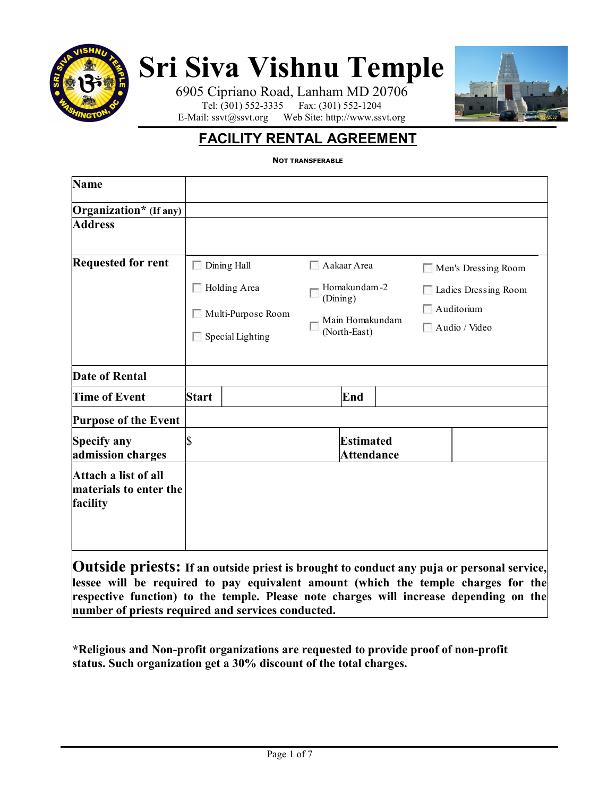

# Sri Siva Vishnu Temple

6905 Cipriano Road, Lanham MD 20706 Tel: (301) 552-3335 Fax: (301) 552-1204 E-Mail: ssvt@ssvt.org Web Site: http://www.ssvt.org



# FACILITY RENTAL AGREEMENT

NOT TRANSFERABLE

| Name                                                       |              |                                               |                                                                            |                                       |  |                                                                                                  |  |
|------------------------------------------------------------|--------------|-----------------------------------------------|----------------------------------------------------------------------------|---------------------------------------|--|--------------------------------------------------------------------------------------------------|--|
| Organization* (If any)                                     |              |                                               |                                                                            |                                       |  |                                                                                                  |  |
| <b>Address</b>                                             |              |                                               |                                                                            |                                       |  |                                                                                                  |  |
| <b>Requested for rent</b>                                  |              | Dining Hall<br>Holding Area                   | Aakaar Area<br>Homakundam-2<br>(Dining)<br>Main Homakundam<br>(North-East) |                                       |  | Men's Dressing Room<br>Ladies Dressing Room<br>Auditorium<br>Audio / Video                       |  |
|                                                            |              | Multi-Purpose Room<br>$\Box$ Special Lighting |                                                                            |                                       |  |                                                                                                  |  |
| <b>Date of Rental</b>                                      |              |                                               |                                                                            |                                       |  |                                                                                                  |  |
| <b>Time of Event</b>                                       | <b>Start</b> |                                               |                                                                            | End                                   |  |                                                                                                  |  |
| <b>Purpose of the Event</b>                                |              |                                               |                                                                            |                                       |  |                                                                                                  |  |
| Specify any<br>admission charges                           | \$           |                                               |                                                                            | <b>Estimated</b><br><b>Attendance</b> |  |                                                                                                  |  |
| Attach a list of all<br>materials to enter the<br>facility |              |                                               |                                                                            |                                       |  |                                                                                                  |  |
|                                                            |              |                                               |                                                                            |                                       |  | <b>Outside priests:</b> If an outside priest is brought to conduct any puis or personal service. |  |

Le priests: If an outside priest is brought to conduct any puja or personal s lessee will be required to pay equivalent amount (which the temple charges for the respective function) to the temple. Please note charges will increase depending on the number of priests required and services conducted.

\*Religious and Non-profit organizations are requested to provide proof of non-profit status. Such organization get a 30% discount of the total charges.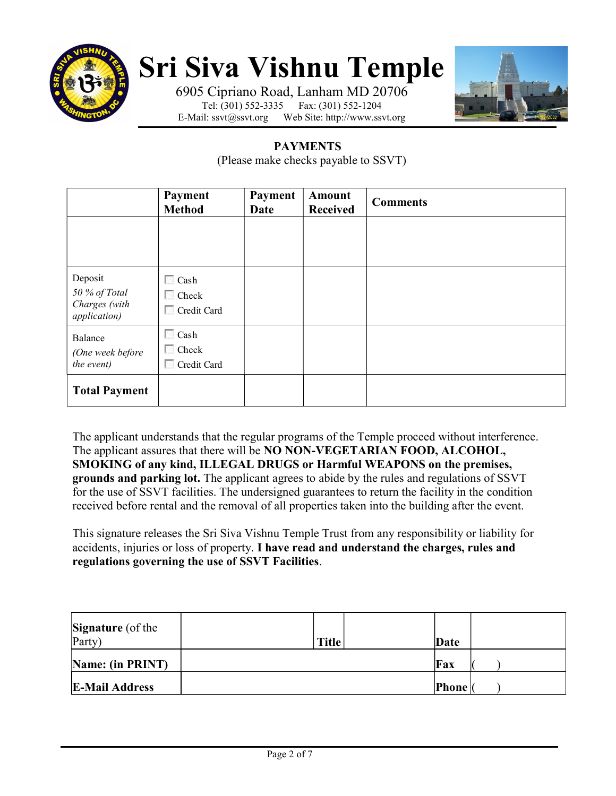

# Sri Siva Vishnu Temple

6905 Cipriano Road, Lanham MD 20706<br>Tel: (301) 552-3335 Fax: (301) 552-1204 Fax: (301) 552-1204 E-Mail: ssvt@ssvt.org Web Site: http://www.ssvt.org



## PAYMENTS

(Please make checks payable to SSVT)

|                                                           | <b>Payment</b><br><b>Method</b>            | Payment<br>Date | <b>Amount</b><br><b>Received</b> | <b>Comments</b> |
|-----------------------------------------------------------|--------------------------------------------|-----------------|----------------------------------|-----------------|
|                                                           |                                            |                 |                                  |                 |
| Deposit<br>50 % of Total<br>Charges (with<br>application) | $\Box$ Cash<br>$\Box$ Check<br>Credit Card |                 |                                  |                 |
| Balance<br>(One week before<br>the event)                 | $\Box$ Cash<br>$\Box$ Check<br>Credit Card |                 |                                  |                 |
| <b>Total Payment</b>                                      |                                            |                 |                                  |                 |

The applicant understands that the regular programs of the Temple proceed without interference. The applicant assures that there will be NO NON-VEGETARIAN FOOD, ALCOHOL, SMOKING of any kind, ILLEGAL DRUGS or Harmful WEAPONS on the premises, grounds and parking lot. The applicant agrees to abide by the rules and regulations of SSVT for the use of SSVT facilities. The undersigned guarantees to return the facility in the condition received before rental and the removal of all properties taken into the building after the event.

This signature releases the Sri Siva Vishnu Temple Trust from any responsibility or liability for accidents, injuries or loss of property. I have read and understand the charges, rules and regulations governing the use of SSVT Facilities.

| <b>Signature</b> (of the |              |              |  |
|--------------------------|--------------|--------------|--|
| Party)                   | <b>Title</b> | Date         |  |
| Name: (in PRINT)         |              | Fax          |  |
| <b>E-Mail Address</b>    |              | <b>Phone</b> |  |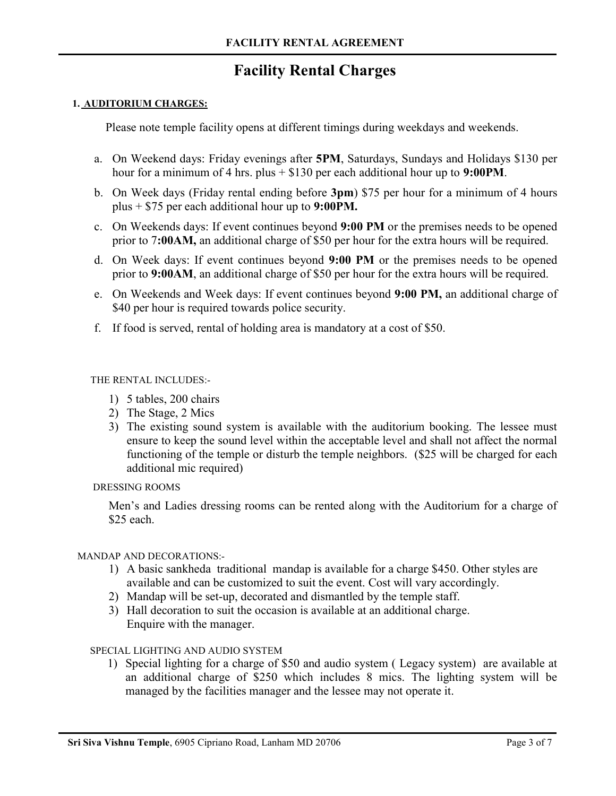## Facility Rental Charges

#### 1. AUDITORIUM CHARGES:

Please note temple facility opens at different timings during weekdays and weekends.

- a. On Weekend days: Friday evenings after 5PM, Saturdays, Sundays and Holidays \$130 per hour for a minimum of 4 hrs. plus  $+$  \$130 per each additional hour up to 9:00PM.
- b. On Week days (Friday rental ending before 3pm) \$75 per hour for a minimum of 4 hours plus  $+$  \$75 per each additional hour up to 9:00PM.
- c. On Weekends days: If event continues beyond 9:00 PM or the premises needs to be opened prior to 7:00AM, an additional charge of \$50 per hour for the extra hours will be required.
- d. On Week days: If event continues beyond 9:00 PM or the premises needs to be opened prior to 9:00AM, an additional charge of \$50 per hour for the extra hours will be required.
- e. On Weekends and Week days: If event continues beyond 9:00 PM, an additional charge of \$40 per hour is required towards police security.
- f. If food is served, rental of holding area is mandatory at a cost of \$50.

#### THE RENTAL INCLUDES:-

- 1) 5 tables, 200 chairs
- 2) The Stage, 2 Mics
- 3) The existing sound system is available with the auditorium booking. The lessee must ensure to keep the sound level within the acceptable level and shall not affect the normal functioning of the temple or disturb the temple neighbors. (\$25 will be charged for each additional mic required)

#### DRESSING ROOMS

Men's and Ladies dressing rooms can be rented along with the Auditorium for a charge of \$25 each.

#### MANDAP AND DECORATIONS:-

- 1) A basic sankheda traditional mandap is available for a charge \$450. Other styles are available and can be customized to suit the event. Cost will vary accordingly.
- 2) Mandap will be set-up, decorated and dismantled by the temple staff.
- 3) Hall decoration to suit the occasion is available at an additional charge. Enquire with the manager.

#### SPECIAL LIGHTING AND AUDIO SYSTEM

1) Special lighting for a charge of \$50 and audio system ( Legacy system) are available at an additional charge of \$250 which includes 8 mics. The lighting system will be managed by the facilities manager and the lessee may not operate it.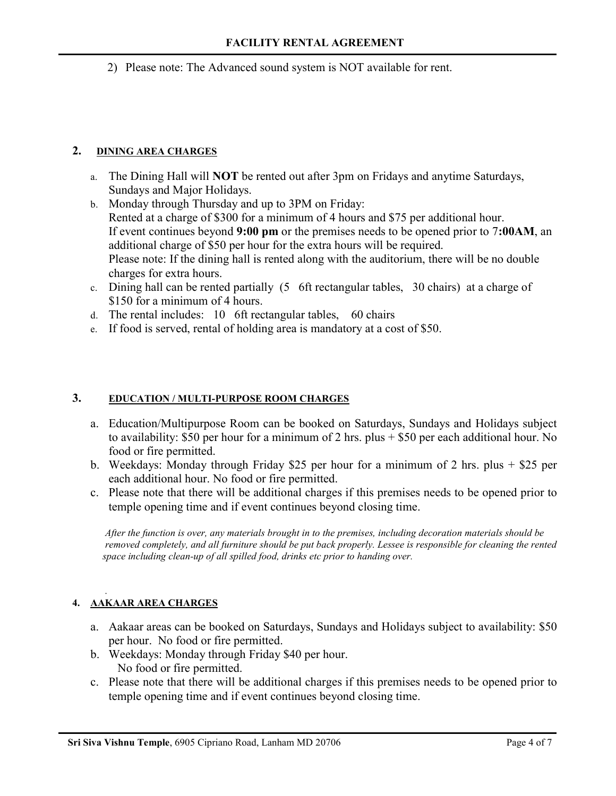2) Please note: The Advanced sound system is NOT available for rent.

#### 2. DINING AREA CHARGES

- a. The Dining Hall will **NOT** be rented out after 3pm on Fridays and anytime Saturdays, Sundays and Major Holidays.
- b. Monday through Thursday and up to 3PM on Friday: Rented at a charge of \$300 for a minimum of 4 hours and \$75 per additional hour. If event continues beyond 9:00 pm or the premises needs to be opened prior to 7:00AM, an additional charge of \$50 per hour for the extra hours will be required. Please note: If the dining hall is rented along with the auditorium, there will be no double charges for extra hours.
- c. Dining hall can be rented partially (5 6ft rectangular tables, 30 chairs) at a charge of \$150 for a minimum of 4 hours.
- d. The rental includes: 10 6ft rectangular tables, 60 chairs
- e. If food is served, rental of holding area is mandatory at a cost of \$50.

#### 3. EDUCATION / MULTI-PURPOSE ROOM CHARGES

- a. Education/Multipurpose Room can be booked on Saturdays, Sundays and Holidays subject to availability: \$50 per hour for a minimum of 2 hrs. plus + \$50 per each additional hour. No food or fire permitted.
- b. Weekdays: Monday through Friday \$25 per hour for a minimum of 2 hrs. plus + \$25 per each additional hour. No food or fire permitted.
- c. Please note that there will be additional charges if this premises needs to be opened prior to temple opening time and if event continues beyond closing time.

 After the function is over, any materials brought in to the premises, including decoration materials should be removed completely, and all furniture should be put back properly. Lessee is responsible for cleaning the rented space including clean-up of all spilled food, drinks etc prior to handing over.

#### . 4. AAKAAR AREA CHARGES

- a. Aakaar areas can be booked on Saturdays, Sundays and Holidays subject to availability: \$50 per hour. No food or fire permitted.
- b. Weekdays: Monday through Friday \$40 per hour. No food or fire permitted.
- c. Please note that there will be additional charges if this premises needs to be opened prior to temple opening time and if event continues beyond closing time.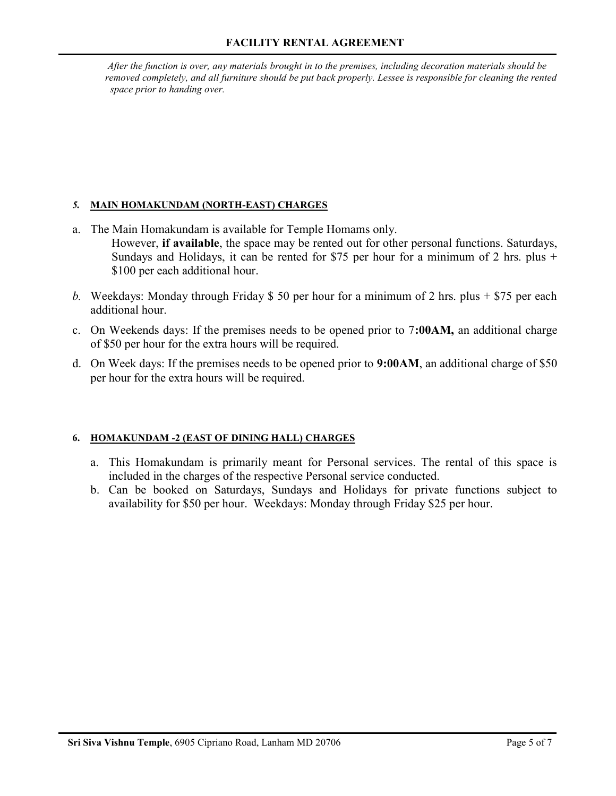After the function is over, any materials brought in to the premises, including decoration materials should be removed completely, and all furniture should be put back properly. Lessee is responsible for cleaning the rented space prior to handing over.

### 5. MAIN HOMAKUNDAM (NORTH-EAST) CHARGES

- a. The Main Homakundam is available for Temple Homams only. However, if available, the space may be rented out for other personal functions. Saturdays, Sundays and Holidays, it can be rented for \$75 per hour for a minimum of 2 hrs. plus + \$100 per each additional hour.
- b. Weekdays: Monday through Friday \$ 50 per hour for a minimum of 2 hrs. plus  $+$  \$75 per each additional hour.
- c. On Weekends days: If the premises needs to be opened prior to 7:00AM, an additional charge of \$50 per hour for the extra hours will be required.
- d. On Week days: If the premises needs to be opened prior to 9:00AM, an additional charge of \$50 per hour for the extra hours will be required.

### 6. HOMAKUNDAM -2 (EAST OF DINING HALL) CHARGES

- a. This Homakundam is primarily meant for Personal services. The rental of this space is included in the charges of the respective Personal service conducted.
- b. Can be booked on Saturdays, Sundays and Holidays for private functions subject to availability for \$50 per hour. Weekdays: Monday through Friday \$25 per hour.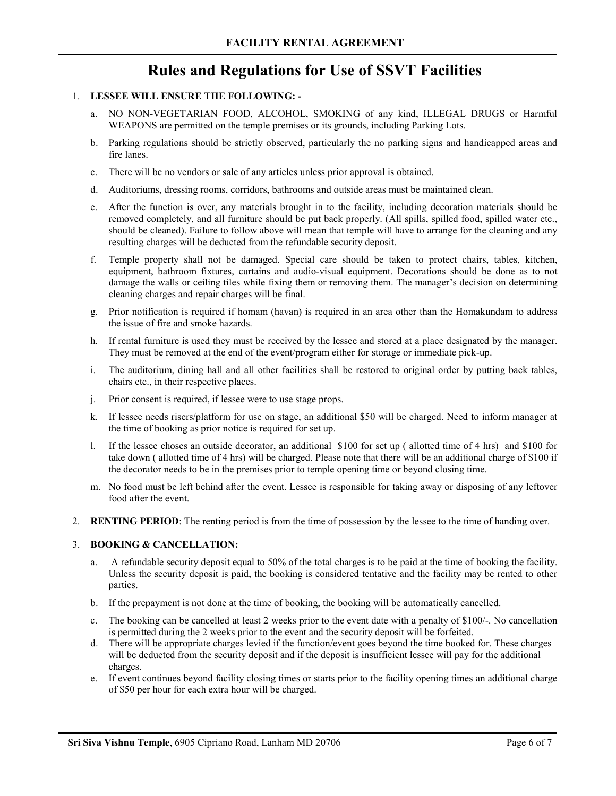## Rules and Regulations for Use of SSVT Facilities

#### 1. LESSEE WILL ENSURE THE FOLLOWING: -

- a. NO NON-VEGETARIAN FOOD, ALCOHOL, SMOKING of any kind, ILLEGAL DRUGS or Harmful WEAPONS are permitted on the temple premises or its grounds, including Parking Lots.
- b. Parking regulations should be strictly observed, particularly the no parking signs and handicapped areas and fire lanes.
- c. There will be no vendors or sale of any articles unless prior approval is obtained.
- d. Auditoriums, dressing rooms, corridors, bathrooms and outside areas must be maintained clean.
- e. After the function is over, any materials brought in to the facility, including decoration materials should be removed completely, and all furniture should be put back properly. (All spills, spilled food, spilled water etc., should be cleaned). Failure to follow above will mean that temple will have to arrange for the cleaning and any resulting charges will be deducted from the refundable security deposit.
- f. Temple property shall not be damaged. Special care should be taken to protect chairs, tables, kitchen, equipment, bathroom fixtures, curtains and audio-visual equipment. Decorations should be done as to not damage the walls or ceiling tiles while fixing them or removing them. The manager's decision on determining cleaning charges and repair charges will be final.
- g. Prior notification is required if homam (havan) is required in an area other than the Homakundam to address the issue of fire and smoke hazards.
- h. If rental furniture is used they must be received by the lessee and stored at a place designated by the manager. They must be removed at the end of the event/program either for storage or immediate pick-up.
- i. The auditorium, dining hall and all other facilities shall be restored to original order by putting back tables, chairs etc., in their respective places.
- j. Prior consent is required, if lessee were to use stage props.
- k. If lessee needs risers/platform for use on stage, an additional \$50 will be charged. Need to inform manager at the time of booking as prior notice is required for set up.
- l. If the lessee choses an outside decorator, an additional \$100 for set up ( allotted time of 4 hrs) and \$100 for take down ( allotted time of 4 hrs) will be charged. Please note that there will be an additional charge of \$100 if the decorator needs to be in the premises prior to temple opening time or beyond closing time.
- m. No food must be left behind after the event. Lessee is responsible for taking away or disposing of any leftover food after the event.
- 2. RENTING PERIOD: The renting period is from the time of possession by the lessee to the time of handing over.

#### 3. BOOKING & CANCELLATION:

- a. A refundable security deposit equal to 50% of the total charges is to be paid at the time of booking the facility. Unless the security deposit is paid, the booking is considered tentative and the facility may be rented to other parties.
- b. If the prepayment is not done at the time of booking, the booking will be automatically cancelled.
- c. The booking can be cancelled at least 2 weeks prior to the event date with a penalty of \$100/-. No cancellation is permitted during the 2 weeks prior to the event and the security deposit will be forfeited.
- d. There will be appropriate charges levied if the function/event goes beyond the time booked for. These charges will be deducted from the security deposit and if the deposit is insufficient lessee will pay for the additional charges.
- e. If event continues beyond facility closing times or starts prior to the facility opening times an additional charge of \$50 per hour for each extra hour will be charged.